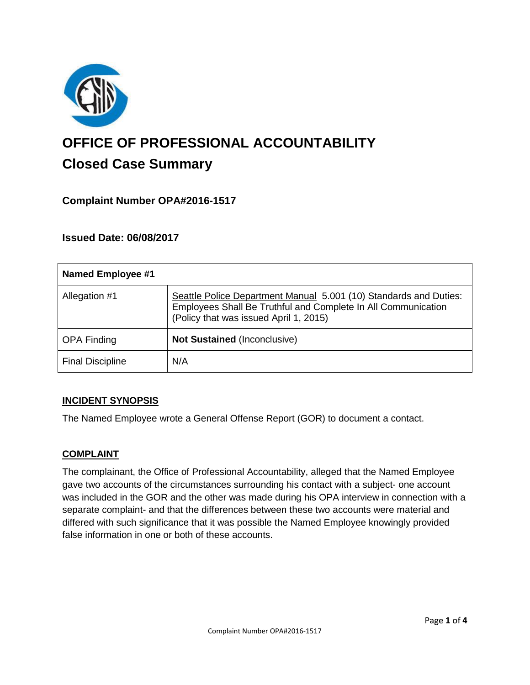

# **OFFICE OF PROFESSIONAL ACCOUNTABILITY Closed Case Summary**

# **Complaint Number OPA#2016-1517**

### **Issued Date: 06/08/2017**

| <b>Named Employee #1</b> |                                                                                                                                                                              |
|--------------------------|------------------------------------------------------------------------------------------------------------------------------------------------------------------------------|
| Allegation #1            | Seattle Police Department Manual 5.001 (10) Standards and Duties:<br>Employees Shall Be Truthful and Complete In All Communication<br>(Policy that was issued April 1, 2015) |
| <b>OPA Finding</b>       | <b>Not Sustained (Inconclusive)</b>                                                                                                                                          |
| <b>Final Discipline</b>  | N/A                                                                                                                                                                          |

#### **INCIDENT SYNOPSIS**

The Named Employee wrote a General Offense Report (GOR) to document a contact.

#### **COMPLAINT**

The complainant, the Office of Professional Accountability, alleged that the Named Employee gave two accounts of the circumstances surrounding his contact with a subject- one account was included in the GOR and the other was made during his OPA interview in connection with a separate complaint- and that the differences between these two accounts were material and differed with such significance that it was possible the Named Employee knowingly provided false information in one or both of these accounts.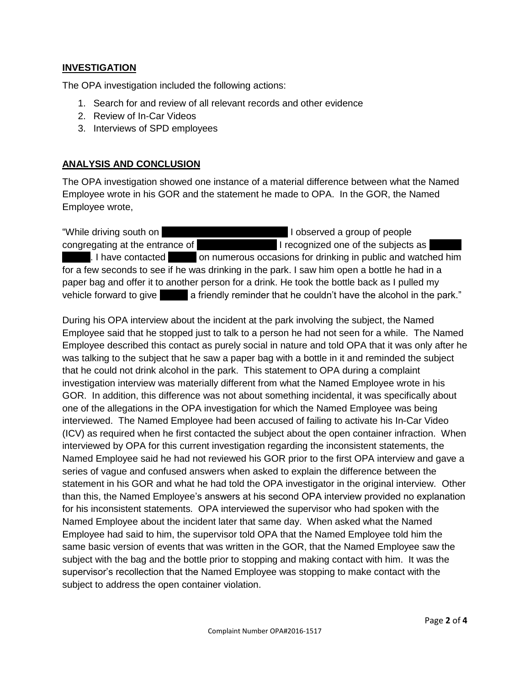#### **INVESTIGATION**

The OPA investigation included the following actions:

- 1. Search for and review of all relevant records and other evidence
- 2. Review of In-Car Videos
- 3. Interviews of SPD employees

### **ANALYSIS AND CONCLUSION**

The OPA investigation showed one instance of a material difference between what the Named Employee wrote in his GOR and the statement he made to OPA. In the GOR, the Named Employee wrote,

"While driving south on Nagle Place in the 1900 block I observed a group of people congregating at the entrance of Cal Anderson Park I recognized one of the subjects as . I have contacted **Dogger on numerous occasions for drinking in public and watched him** for a few seconds to see if he was drinking in the park. I saw him open a bottle he had in a paper bag and offer it to another person for a drink. He took the bottle back as I pulled my vehicle forward to give a friendly reminder that he couldn't have the alcohol in the park."

During his OPA interview about the incident at the park involving the subject, the Named Employee said that he stopped just to talk to a person he had not seen for a while. The Named Employee described this contact as purely social in nature and told OPA that it was only after he was talking to the subject that he saw a paper bag with a bottle in it and reminded the subject that he could not drink alcohol in the park. This statement to OPA during a complaint investigation interview was materially different from what the Named Employee wrote in his GOR. In addition, this difference was not about something incidental, it was specifically about one of the allegations in the OPA investigation for which the Named Employee was being interviewed. The Named Employee had been accused of failing to activate his In-Car Video (ICV) as required when he first contacted the subject about the open container infraction. When interviewed by OPA for this current investigation regarding the inconsistent statements, the Named Employee said he had not reviewed his GOR prior to the first OPA interview and gave a series of vague and confused answers when asked to explain the difference between the statement in his GOR and what he had told the OPA investigator in the original interview. Other than this, the Named Employee's answers at his second OPA interview provided no explanation for his inconsistent statements. OPA interviewed the supervisor who had spoken with the Named Employee about the incident later that same day. When asked what the Named Employee had said to him, the supervisor told OPA that the Named Employee told him the same basic version of events that was written in the GOR, that the Named Employee saw the subject with the bag and the bottle prior to stopping and making contact with him. It was the supervisor's recollection that the Named Employee was stopping to make contact with the subject to address the open container violation.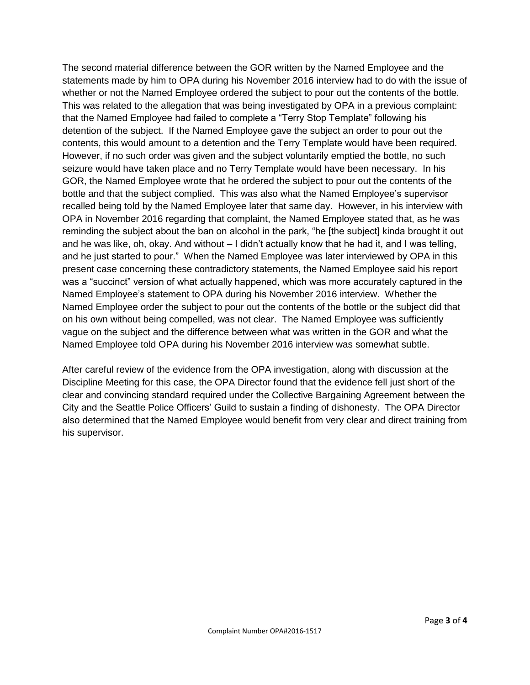The second material difference between the GOR written by the Named Employee and the statements made by him to OPA during his November 2016 interview had to do with the issue of whether or not the Named Employee ordered the subject to pour out the contents of the bottle. This was related to the allegation that was being investigated by OPA in a previous complaint: that the Named Employee had failed to complete a "Terry Stop Template" following his detention of the subject. If the Named Employee gave the subject an order to pour out the contents, this would amount to a detention and the Terry Template would have been required. However, if no such order was given and the subject voluntarily emptied the bottle, no such seizure would have taken place and no Terry Template would have been necessary. In his GOR, the Named Employee wrote that he ordered the subject to pour out the contents of the bottle and that the subject complied. This was also what the Named Employee's supervisor recalled being told by the Named Employee later that same day. However, in his interview with OPA in November 2016 regarding that complaint, the Named Employee stated that, as he was reminding the subject about the ban on alcohol in the park, "he [the subject] kinda brought it out and he was like, oh, okay. And without – I didn't actually know that he had it, and I was telling, and he just started to pour." When the Named Employee was later interviewed by OPA in this present case concerning these contradictory statements, the Named Employee said his report was a "succinct" version of what actually happened, which was more accurately captured in the Named Employee's statement to OPA during his November 2016 interview. Whether the Named Employee order the subject to pour out the contents of the bottle or the subject did that on his own without being compelled, was not clear. The Named Employee was sufficiently vague on the subject and the difference between what was written in the GOR and what the Named Employee told OPA during his November 2016 interview was somewhat subtle.

After careful review of the evidence from the OPA investigation, along with discussion at the Discipline Meeting for this case, the OPA Director found that the evidence fell just short of the clear and convincing standard required under the Collective Bargaining Agreement between the City and the Seattle Police Officers' Guild to sustain a finding of dishonesty. The OPA Director also determined that the Named Employee would benefit from very clear and direct training from his supervisor.